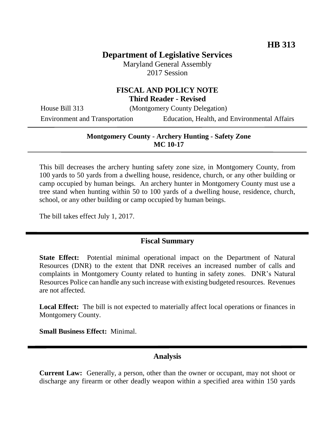# **Department of Legislative Services**

Maryland General Assembly 2017 Session

#### **FISCAL AND POLICY NOTE Third Reader - Revised**

House Bill 313 (Montgomery County Delegation)

Environment and Transportation Education, Health, and Environmental Affairs

#### **Montgomery County - Archery Hunting - Safety Zone MC 10-17**

This bill decreases the archery hunting safety zone size, in Montgomery County, from 100 yards to 50 yards from a dwelling house, residence, church, or any other building or camp occupied by human beings. An archery hunter in Montgomery County must use a tree stand when hunting within 50 to 100 yards of a dwelling house, residence, church, school, or any other building or camp occupied by human beings.

The bill takes effect July 1, 2017.

#### **Fiscal Summary**

**State Effect:** Potential minimal operational impact on the Department of Natural Resources (DNR) to the extent that DNR receives an increased number of calls and complaints in Montgomery County related to hunting in safety zones. DNR's Natural Resources Police can handle any such increase with existing budgeted resources. Revenues are not affected.

**Local Effect:** The bill is not expected to materially affect local operations or finances in Montgomery County.

**Small Business Effect:** Minimal.

### **Analysis**

**Current Law:** Generally, a person, other than the owner or occupant, may not shoot or discharge any firearm or other deadly weapon within a specified area within 150 yards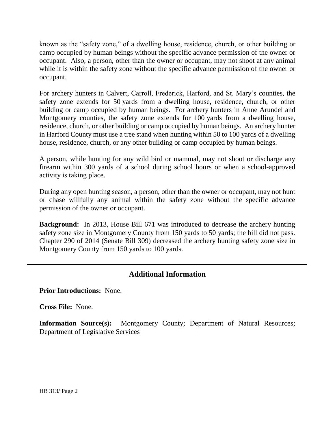known as the "safety zone," of a dwelling house, residence, church, or other building or camp occupied by human beings without the specific advance permission of the owner or occupant. Also, a person, other than the owner or occupant, may not shoot at any animal while it is within the safety zone without the specific advance permission of the owner or occupant.

For archery hunters in Calvert, Carroll, Frederick, Harford, and St. Mary's counties, the safety zone extends for 50 yards from a dwelling house, residence, church, or other building or camp occupied by human beings. For archery hunters in Anne Arundel and Montgomery counties, the safety zone extends for 100 yards from a dwelling house, residence, church, or other building or camp occupied by human beings. An archery hunter in Harford County must use a tree stand when hunting within 50 to 100 yards of a dwelling house, residence, church, or any other building or camp occupied by human beings.

A person, while hunting for any wild bird or mammal, may not shoot or discharge any firearm within 300 yards of a school during school hours or when a school-approved activity is taking place.

During any open hunting season, a person, other than the owner or occupant, may not hunt or chase willfully any animal within the safety zone without the specific advance permission of the owner or occupant.

**Background:** In 2013, House Bill 671 was introduced to decrease the archery hunting safety zone size in Montgomery County from 150 yards to 50 yards; the bill did not pass. Chapter 290 of 2014 (Senate Bill 309) decreased the archery hunting safety zone size in Montgomery County from 150 yards to 100 yards.

## **Additional Information**

**Prior Introductions:** None.

**Cross File:** None.

**Information Source(s):** Montgomery County; Department of Natural Resources; Department of Legislative Services